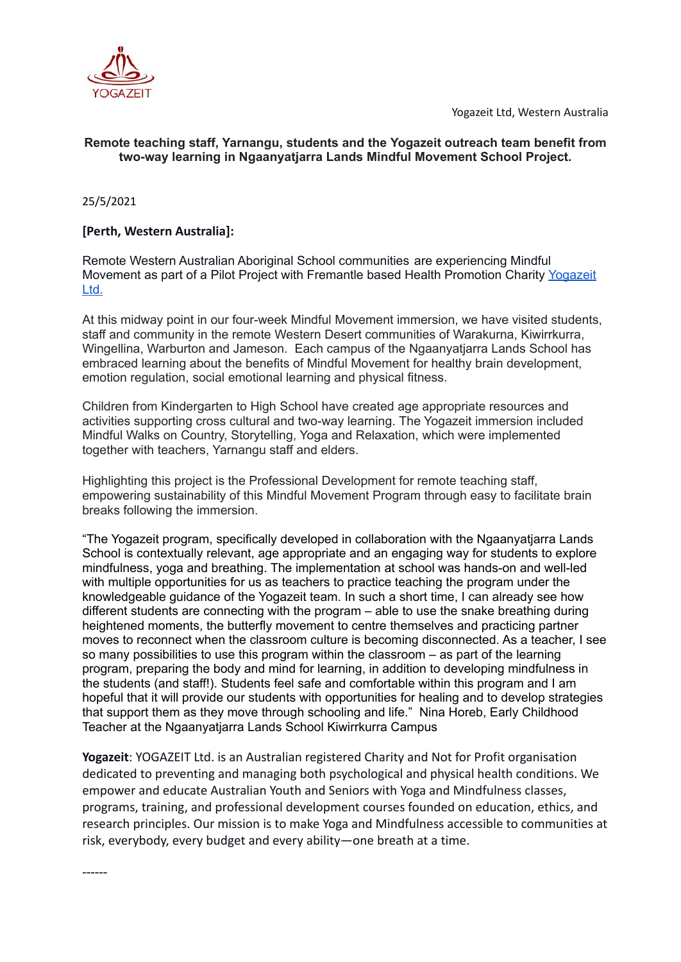



## **Remote teaching staff, Yarnangu, students and the Yogazeit outreach team benefit from two-way learning in Ngaanyatjarra Lands Mindful Movement School Project.**

25/5/2021

## **[Perth, Western Australia]:**

Remote Western Australian Aboriginal School communities are experiencing Mindful Movement as part of a Pilot Project with Fremantle based Health Promotion Charity [Yogazeit](http://www.yogazeit.com.au) [Ltd.](http://www.yogazeit.com.au)

At this midway point in our four-week Mindful Movement immersion, we have visited students, staff and community in the remote Western Desert communities of Warakurna, Kiwirrkurra, Wingellina, Warburton and Jameson. Each campus of the Ngaanyatjarra Lands School has embraced learning about the benefits of Mindful Movement for healthy brain development, emotion regulation, social emotional learning and physical fitness.

Children from Kindergarten to High School have created age appropriate resources and activities supporting cross cultural and two-way learning. The Yogazeit immersion included Mindful Walks on Country, Storytelling, Yoga and Relaxation, which were implemented together with teachers, Yarnangu staff and elders.

Highlighting this project is the Professional Development for remote teaching staff, empowering sustainability of this Mindful Movement Program through easy to facilitate brain breaks following the immersion.

"The Yogazeit program, specifically developed in collaboration with the Ngaanyatjarra Lands School is contextually relevant, age appropriate and an engaging way for students to explore mindfulness, yoga and breathing. The implementation at school was hands-on and well-led with multiple opportunities for us as teachers to practice teaching the program under the knowledgeable guidance of the Yogazeit team. In such a short time, I can already see how different students are connecting with the program – able to use the snake breathing during heightened moments, the butterfly movement to centre themselves and practicing partner moves to reconnect when the classroom culture is becoming disconnected. As a teacher, I see so many possibilities to use this program within the classroom – as part of the learning program, preparing the body and mind for learning, in addition to developing mindfulness in the students (and staff!). Students feel safe and comfortable within this program and I am hopeful that it will provide our students with opportunities for healing and to develop strategies that support them as they move through schooling and life." Nina Horeb, Early Childhood Teacher at the Ngaanyatjarra Lands School Kiwirrkurra Campus

**Yogazeit**: YOGAZEIT Ltd. is an Australian registered Charity and Not for Profit organisation dedicated to preventing and managing both psychological and physical health conditions. We empower and educate Australian Youth and Seniors with Yoga and Mindfulness classes, programs, training, and professional development courses founded on education, ethics, and research principles. Our mission is to make Yoga and Mindfulness accessible to communities at risk, everybody, every budget and every ability—one breath at a time.